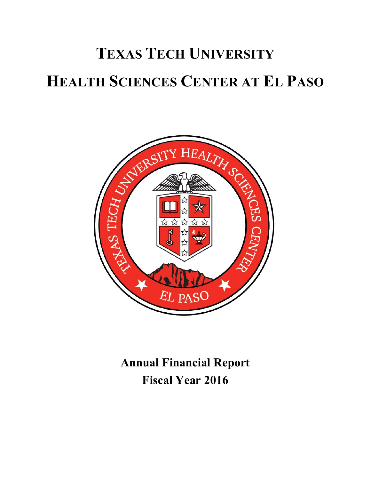

**Annual Financial Report Fiscal Year 2016**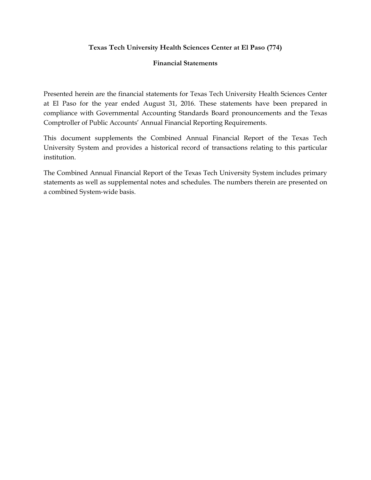#### **Texas Tech University Health Sciences Center at El Paso (774)**

#### **Financial Statements**

Presented herein are the financial statements for Texas Tech University Health Sciences Center at El Paso for the year ended August 31, 2016. These statements have been prepared in compliance with Governmental Accounting Standards Board pronouncements and the Texas Comptroller of Public Accounts' Annual Financial Reporting Requirements.

This document supplements the Combined Annual Financial Report of the Texas Tech University System and provides a historical record of transactions relating to this particular institution.

The Combined Annual Financial Report of the Texas Tech University System includes primary statements as well as supplemental notes and schedules. The numbers therein are presented on a combined System‐wide basis.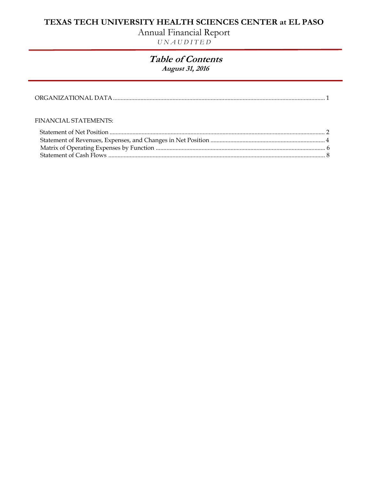# Annual Financial Report

*U N A U D I T E D* 

### **Table of Contents August 31, 2016**

#### FINANCIAL STATEMENTS: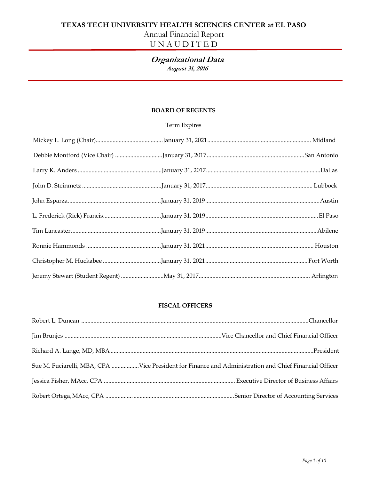# Annual Financial Report

# U N A U D I T E D

#### **Organizational Data August 31, 2016**

#### **BOARD OF REGENTS**

#### Term Expires

#### **FISCAL OFFICERS**

| Sue M. Fuciarelli, MBA, CPA Vice President for Finance and Administration and Chief Financial Officer |
|-------------------------------------------------------------------------------------------------------|
|                                                                                                       |
|                                                                                                       |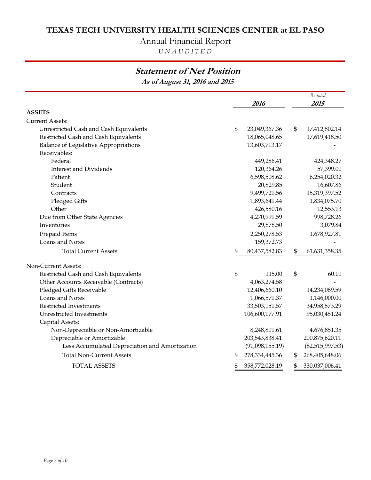# Annual Financial Report

*U N A U D I T E D*

# **Statement of Net Position**

**As of August 31, 2016 and 2015**

|                                                | 2016                    | Restated<br>2015 |                   |  |
|------------------------------------------------|-------------------------|------------------|-------------------|--|
| <b>ASSETS</b>                                  |                         |                  |                   |  |
| <b>Current Assets:</b>                         |                         |                  |                   |  |
| Unrestricted Cash and Cash Equivalents         | \$<br>23,049,367.36     | \$               | 17,412,802.14     |  |
| Restricted Cash and Cash Equivalents           | 18,065,048.65           |                  | 17,619,418.50     |  |
| <b>Balance of Legislative Appropriations</b>   | 13,603,713.17           |                  |                   |  |
| Receivables:                                   |                         |                  |                   |  |
| Federal                                        | 449,286.41              |                  | 424,348.27        |  |
| <b>Interest and Dividends</b>                  | 120,364.26              |                  | 57,399.00         |  |
| Patient                                        | 6,598,508.62            |                  | 6,254,020.32      |  |
| Student                                        | 20,829.85               |                  | 16,607.86         |  |
| Contracts                                      | 9,499,721.56            |                  | 15,319,397.52     |  |
| Pledged Gifts                                  | 1,893,641.44            |                  | 1,834,075.70      |  |
| Other                                          | 426,580.16              |                  | 12,553.13         |  |
| Due from Other State Agencies                  | 4,270,991.59            |                  | 998,728.26        |  |
| Inventories                                    | 29,878.50               |                  | 3,079.84          |  |
| Prepaid Items                                  | 2,250,278.53            |                  | 1,678,927.81      |  |
| Loans and Notes                                | 159,372.73              |                  |                   |  |
| <b>Total Current Assets</b>                    | \$<br>80,437,582.83     | \$               | 61,631,358.35     |  |
| Non-Current Assets:                            |                         |                  |                   |  |
| Restricted Cash and Cash Equivalents           | \$<br>115.00            | \$               | 60.01             |  |
| Other Accounts Receivable (Contracts)          | 4,063,274.58            |                  |                   |  |
| Pledged Gifts Receivable                       | 12,406,660.10           |                  | 14,234,089.59     |  |
| Loans and Notes                                | 1,066,571.37            |                  | 1,146,000.00      |  |
| Restricted Investments                         | 33,503,151.57           |                  | 34,958,573.29     |  |
| Unrestricted Investments                       | 106,600,177.91          |                  | 95,030,451.24     |  |
| Capital Assets:                                |                         |                  |                   |  |
| Non-Depreciable or Non-Amortizable             | 8,248,811.61            |                  | 4,676,851.35      |  |
| Depreciable or Amortizable                     | 203,543,838.41          |                  | 200,875,620.11    |  |
| Less Accumulated Depreciation and Amortization | (91,098,155.19)         |                  | (82, 515, 997.53) |  |
| <b>Total Non-Current Assets</b>                | \$<br>278, 334, 445. 36 | \$               | 268,405,648.06    |  |
| <b>TOTAL ASSETS</b>                            | \$<br>358,772,028.19    | \$               | 330,037,006.41    |  |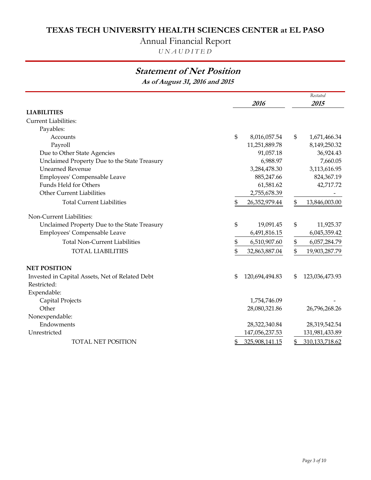# Annual Financial Report

*U N A U D I T E D*

# **Statement of Net Position**

**As of August 31, 2016 and 2015**

|                                                 |    | 2016           |    | Restated       |
|-------------------------------------------------|----|----------------|----|----------------|
|                                                 |    |                |    | 2015           |
| <b>LIABILITIES</b>                              |    |                |    |                |
| <b>Current Liabilities:</b>                     |    |                |    |                |
| Payables:                                       |    |                |    |                |
| Accounts                                        | \$ | 8,016,057.54   | \$ | 1,671,466.34   |
| Payroll                                         |    | 11,251,889.78  |    | 8,149,250.32   |
| Due to Other State Agencies                     |    | 91,057.18      |    | 36,924.43      |
| Unclaimed Property Due to the State Treasury    |    | 6,988.97       |    | 7,660.05       |
| <b>Unearned Revenue</b>                         |    | 3,284,478.30   |    | 3,113,616.95   |
| Employees' Compensable Leave                    |    | 885,247.66     |    | 824,367.19     |
| Funds Held for Others                           |    | 61,581.62      |    | 42,717.72      |
| <b>Other Current Liabilities</b>                |    | 2,755,678.39   |    |                |
| <b>Total Current Liabilities</b>                | \$ | 26,352,979.44  | \$ | 13,846,003.00  |
| Non-Current Liabilities:                        |    |                |    |                |
| Unclaimed Property Due to the State Treasury    | \$ | 19,091.45      | \$ | 11,925.37      |
| Employees' Compensable Leave                    |    | 6,491,816.15   |    | 6,045,359.42   |
| <b>Total Non-Current Liabilities</b>            | \$ | 6,510,907.60   | \$ | 6,057,284.79   |
| <b>TOTAL LIABILITIES</b>                        | \$ | 32,863,887.04  | \$ | 19,903,287.79  |
| <b>NET POSITION</b>                             |    |                |    |                |
| Invested in Capital Assets, Net of Related Debt | \$ | 120,694,494.83 | \$ | 123,036,473.93 |
| Restricted:                                     |    |                |    |                |
| Expendable:                                     |    |                |    |                |
| Capital Projects                                |    | 1,754,746.09   |    |                |
| Other                                           |    | 28,080,321.86  |    | 26,796,268.26  |
| Nonexpendable:                                  |    |                |    |                |
| Endowments                                      |    | 28,322,340.84  |    | 28,319,542.54  |
| Unrestricted                                    |    | 147,056,237.53 |    | 131,981,433.89 |
| <b>TOTAL NET POSITION</b>                       | \$ | 325,908,141.15 | S  | 310,133,718.62 |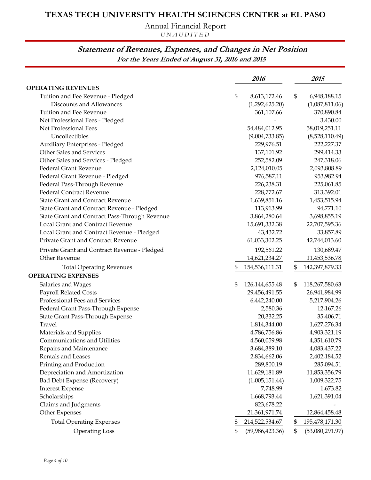Annual Financial Report

*U N A U D I T E D*

## **Statement of Revenues, Expenses, and Changes in Net Position For the Years Ended of August 31, 2016 and 2015**

|                                               | 2016                    | 2015                  |
|-----------------------------------------------|-------------------------|-----------------------|
| <b>OPERATING REVENUES</b>                     |                         |                       |
| Tuition and Fee Revenue - Pledged             | \$<br>8,613,172.46      | \$<br>6,948,188.15    |
| Discounts and Allowances                      | (1,292,625.20)          | (1,087,811.06)        |
| Tuition and Fee Revenue                       | 361,107.66              | 370,890.84            |
| Net Professional Fees - Pledged               |                         | 3,430.00              |
| Net Professional Fees                         | 54,484,012.95           | 58,019,251.11         |
| Uncollectibles                                | (9,004,733.85)          | (8,528,110.49)        |
| Auxiliary Enterprises - Pledged               | 229,976.51              | 222,227.37            |
| Other Sales and Services                      | 137,101.92              | 299,414.33            |
| Other Sales and Services - Pledged            | 252,582.09              | 247,318.06            |
| <b>Federal Grant Revenue</b>                  | 2,124,010.05            | 2,093,808.89          |
| Federal Grant Revenue - Pledged               | 976,587.11              | 953,982.94            |
| Federal Pass-Through Revenue                  | 226,238.31              | 225,061.85            |
| <b>Federal Contract Revenue</b>               | 228,772.67              | 313,392.01            |
| <b>State Grant and Contract Revenue</b>       | 1,639,851.16            | 1,453,515.94          |
| State Grant and Contract Revenue - Pledged    | 113,913.99              | 94,771.10             |
| State Grant and Contract Pass-Through Revenue | 3,864,280.64            | 3,698,855.19          |
| Local Grant and Contract Revenue              | 15,691,332.38           | 22,707,595.36         |
| Local Grant and Contract Revenue - Pledged    | 43,432.72               | 33,857.89             |
| Private Grant and Contract Revenue            | 61,033,302.25           | 42,744,013.60         |
| Private Grant and Contract Revenue - Pledged  | 192,561.22              | 130,689.47            |
| Other Revenue                                 | 14,621,234.27           | 11,453,536.78         |
| <b>Total Operating Revenues</b>               | \$<br>154,536,111.31    | \$<br>142,397,879.33  |
| <b>OPERATING EXPENSES</b>                     |                         |                       |
| Salaries and Wages                            | \$<br>126, 144, 655. 48 | \$<br>118,267,580.63  |
| Payroll Related Costs                         | 29,456,491.55           | 26,941,984.99         |
| Professional Fees and Services                | 6,442,240.00            | 5,217,904.26          |
| Federal Grant Pass-Through Expense            | 2,580.36                | 12,167.26             |
| State Grant Pass-Through Expense              | 20,332.25               | 35,406.71             |
| Travel                                        | 1,814,344.00            | 1,627,276.34          |
| Materials and Supplies                        | 4,786,756.86            | 4,903,321.19          |
| Communications and Utilities                  | 4,560,059.98            | 4,351,610.79          |
| Repairs and Maintenance                       | 3,684,389.10            | 4,083,437.22          |
| Rentals and Leases                            | 2,834,662.06            | 2,402,184.52          |
| Printing and Production                       | 289,800.19              | 285,094.51            |
| Depreciation and Amortization                 | 11,629,181.89           | 11,853,356.79         |
| Bad Debt Expense (Recovery)                   | (1,005,151.44)          | 1,009,322.75          |
| <b>Interest Expense</b>                       | 7,748.99                | 1,673.82              |
| Scholarships                                  | 1,668,793.44            | 1,621,391.04          |
| Claims and Judgments                          | 823,678.22              |                       |
| Other Expenses                                | 21,361,971.74           | 12,864,458.48         |
| <b>Total Operating Expenses</b>               | \$<br>214,522,534.67    | \$<br>195,478,171.30  |
| <b>Operating Loss</b>                         | \$<br>(59,986,423.36)   | \$<br>(53,080,291.97) |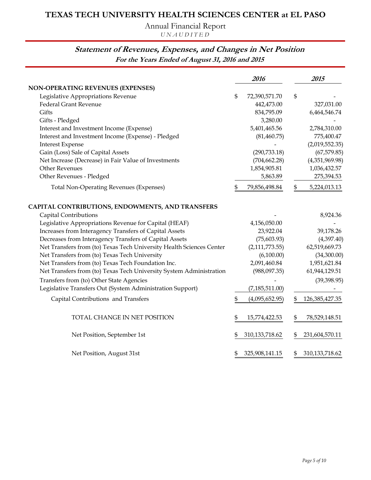Annual Financial Report

*U N A U D I T E D*

### **Statement of Revenues, Expenses, and Changes in Net Position For the Years Ended of August 31, 2016 and 2015**

|                                                                      | 2016                   | 2015                    |
|----------------------------------------------------------------------|------------------------|-------------------------|
| <b>NON-OPERATING REVENUES (EXPENSES)</b>                             |                        |                         |
| Legislative Appropriations Revenue                                   | \$<br>72,390,571.70    | \$                      |
| <b>Federal Grant Revenue</b>                                         | 442,473.00             | 327,031.00              |
| Gifts                                                                | 834,795.09             | 6,464,546.74            |
| Gifts - Pledged                                                      | 3,280.00               |                         |
| Interest and Investment Income (Expense)                             | 5,401,465.56           | 2,784,310.00            |
| Interest and Investment Income (Expense) - Pledged                   | (81, 460.75)           | 775,400.47              |
| <b>Interest Expense</b>                                              |                        | (2,019,552.35)          |
| Gain (Loss) Sale of Capital Assets                                   | (290, 733.18)          | (67, 579.85)            |
| Net Increase (Decrease) in Fair Value of Investments                 | (704, 662.28)          | (4,351,969.98)          |
| <b>Other Revenues</b>                                                | 1,854,905.81           | 1,036,432.57            |
| Other Revenues - Pledged                                             | 5,863.89               | 275,394.53              |
| <b>Total Non-Operating Revenues (Expenses)</b>                       | \$<br>79,856,498.84    | \$<br>5,224,013.13      |
| CAPITAL CONTRIBUTIONS, ENDOWMENTS, AND TRANSFERS                     |                        |                         |
| Capital Contributions                                                |                        | 8,924.36                |
| Legislative Appropriations Revenue for Capital (HEAF)                | 4,156,050.00           |                         |
| Increases from Interagency Transfers of Capital Assets               | 23,922.04              | 39,178.26               |
| Decreases from Interagency Transfers of Capital Assets               | (75,603.93)            | (4,397.40)              |
| Net Transfers from (to) Texas Tech University Health Sciences Center | (2,111,773.55)         | 62,519,669.73           |
| Net Transfers from (to) Texas Tech University                        | (6,100.00)             | (34,300.00)             |
| Net Transfers from (to) Texas Tech Foundation Inc.                   | 2,091,460.84           | 1,951,621.84            |
| Net Transfers from (to) Texas Tech University System Administration  | (988,097.35)           | 61,944,129.51           |
| Transfers from (to) Other State Agencies                             |                        | (39, 398.95)            |
| Legislative Transfers Out (System Administration Support)            | (7, 185, 511.00)       |                         |
| Capital Contributions and Transfers                                  | \$<br>(4,095,652.95)   | \$<br>126, 385, 427. 35 |
| TOTAL CHANGE IN NET POSITION                                         | \$<br>15,774,422.53    | \$<br>78,529,148.51     |
| Net Position, September 1st                                          | \$<br>310, 133, 718.62 | \$<br>231,604,570.11    |
| Net Position, August 31st                                            | \$<br>325,908,141.15   | \$<br>310, 133, 718.62  |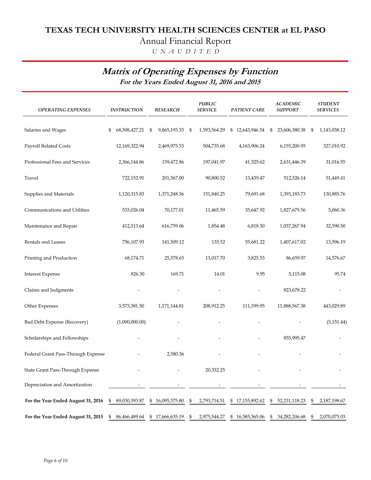# Annual Financial Report

 *U N A U D I T E D*

# **Matrix of Operating Expenses by Function**

**For the Years Ended August 31, 2016 and 2015**

| <b>OPERATING EXPENSES</b>          | <b>INSTRUCTION</b>  | <b>RESEARCH</b>     |                | <b>PUBLIC</b><br><b>SERVICE</b> | PATIENT CARE    | <b>ACADEMIC</b><br><b>SUPPORT</b> | <b>STUDENT</b><br><b>SERVICES</b> |
|------------------------------------|---------------------|---------------------|----------------|---------------------------------|-----------------|-----------------------------------|-----------------------------------|
| Salaries and Wages                 | \$<br>68,308,427.21 | \$<br>9,865,193.33  | $\mathfrak{S}$ | 1,593,564.29                    | \$12,643,946.54 | \$<br>23,606,380.38               | \$<br>1,143,038.12                |
| Payroll Related Costs              | 12,169,322.94       | 2,469,975.53        |                | 504,735.68                      | 4,163,906.24    | 6,155,200.95                      | 327,010.92                        |
| Professional Fees and Services     | 2,366,144.86        | 159,472.86          |                | 197,041.97                      | 41,525.62       | 2,631,446.39                      | 31,016.55                         |
| Travel                             | 722,152.91          | 201,567.00          |                | 90,800.52                       | 13,439.47       | 512,326.14                        | 51,449.41                         |
| Supplies and Materials             | 1,120,315.83        | 1,371,248.36        |                | 151,840.25                      | 79,691.68       | 1,393,183.73                      | 130,885.76                        |
| Communications and Utilities       | 533,026.04          | 70,177.01           |                | 11,465.59                       | 35,647.92       | 1,827,679.56                      | 5,060.36                          |
| Maintenance and Repair             | 412,513.64          | 616,759.06          |                | 1,854.48                        | 6,818.50        | 1,037,267.94                      | 32,590.50                         |
| Rentals and Leases                 | 756,107.93          | 141,509.12          |                | 135.52                          | 55,681.22       | 1,407,617.02                      | 13,596.19                         |
| Printing and Production            | 68,174.71           | 25,578.65           |                | 13,017.70                       | 3,825.53        | 86,659.97                         | 14,576.67                         |
| <b>Interest Expense</b>            | 826.30              | 169.71              |                | 14.01                           | 9.95            | 5,115.08                          | 95.74                             |
| Claims and Judgments               |                     |                     |                |                                 |                 | 823,678.22                        |                                   |
| Other Expenses                     | 3,573,381.50        | 1,171,144.81        |                | 208,912.25                      | 111,399.95      | 11,888,567.38                     | 443,029.89                        |
| Bad Debt Expense (Recovery)        | (1,000,000.00)      |                     |                |                                 |                 |                                   | (5, 151.44)                       |
| Scholarships and Fellowships       |                     |                     |                |                                 |                 | 855,995.47                        |                                   |
| Federal Grant Pass-Through Expense |                     | 2,580.36            |                |                                 |                 |                                   |                                   |
| State Grant Pass-Through Expense   |                     |                     |                | 20,332.25                       |                 |                                   |                                   |
| Depreciation and Amortization      |                     |                     |                |                                 |                 |                                   |                                   |
| For the Year Ended August 31, 2016 | 89,030,393.87<br>\$ | \$<br>16,095,375.80 | \$             | 2,793,714.51                    | \$17,155,892.62 | \$<br>52, 231, 118. 23            | \$<br>2,187,198.67                |
| For the Year Ended August 31, 2015 | \$<br>86,466,489.64 | \$17,666,635.19     | \$             | 2,975,544.27                    | \$16,585,365.06 | \$<br>34,282,206.68               | \$<br>2,070,075.03                |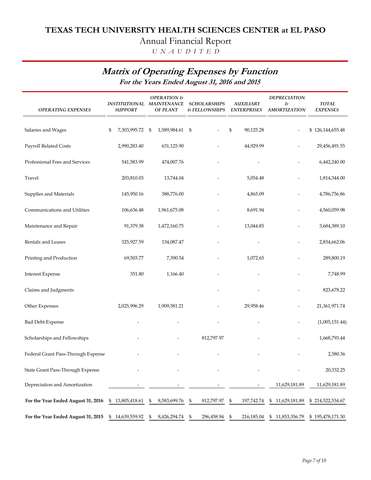# Annual Financial Report

 *U N A U D I T E D*

# **Matrix of Operating Expenses by Function**

**For the Years Ended August 31, 2016 and 2015**

| <b>OPERATING EXPENSES</b>          | INSTITUTIONAL MAINTENANCE<br><b>SUPPORT</b> | OPERATION &<br><b>OF PLANT</b> | <b>SCHOLARSHIPS</b><br>& FELLOWSHIPS | <b>AUXILIARY</b><br><b>ENTERPRISES</b> | <b>DEPRECIATION</b><br>$\mathcal{E}% _{0}$<br><b>AMORTIZATION</b> | <b>TOTAL</b><br><b>EXPENSES</b> |
|------------------------------------|---------------------------------------------|--------------------------------|--------------------------------------|----------------------------------------|-------------------------------------------------------------------|---------------------------------|
|                                    |                                             |                                |                                      |                                        |                                                                   |                                 |
| Salaries and Wages                 | \$<br>7,303,995.72                          | 1,589,984.61<br>\$             | -\$                                  | $\mathfrak{s}$<br>90,125.28            |                                                                   | \$126,144,655.48                |
| Payroll Related Costs              | 2,990,283.40                                | 631,125.90                     |                                      | 44,929.99                              |                                                                   | 29,456,491.55                   |
| Professional Fees and Services     | 541,583.99                                  | 474,007.76                     |                                      |                                        |                                                                   | 6,442,240.00                    |
| Travel                             | 203,810.03                                  | 13,744.04                      |                                      | 5,054.48                               |                                                                   | 1,814,344.00                    |
| Supplies and Materials             | 145,950.16                                  | 388,776.00                     |                                      | 4,865.09                               |                                                                   | 4,786,756.86                    |
| Communications and Utilities       | 106,636.48                                  | 1,961,675.08                   |                                      | 8,691.94                               |                                                                   | 4,560,059.98                    |
| Maintenance and Repair             | 91,379.38                                   | 1,472,160.75                   |                                      | 13,044.85                              |                                                                   | 3,684,389.10                    |
| Rentals and Leases                 | 325,927.59                                  | 134,087.47                     |                                      |                                        |                                                                   | 2,834,662.06                    |
| Printing and Production            | 69,503.77                                   | 7,390.54                       |                                      | 1,072.65                               |                                                                   | 289,800.19                      |
| <b>Interest Expense</b>            | 351.80                                      | 1,166.40                       |                                      |                                        |                                                                   | 7,748.99                        |
| Claims and Judgments               |                                             |                                |                                      |                                        |                                                                   | 823,678.22                      |
| Other Expenses                     | 2,025,996.29                                | 1,909,581.21                   |                                      | 29,958.46                              | $\overline{\phantom{0}}$                                          | 21,361,971.74                   |
| <b>Bad Debt Expense</b>            |                                             |                                |                                      |                                        |                                                                   | (1,005,151.44)                  |
| Scholarships and Fellowships       |                                             |                                | 812,797.97                           |                                        |                                                                   | 1,668,793.44                    |
| Federal Grant Pass-Through Expense |                                             |                                |                                      |                                        |                                                                   | 2,580.36                        |
| State Grant Pass-Through Expense   |                                             |                                |                                      |                                        |                                                                   | 20,332.25                       |
| Depreciation and Amortization      |                                             |                                |                                      |                                        | 11,629,181.89                                                     | 11,629,181.89                   |
| For the Year Ended August 31, 2016 | 13,805,418.61<br>\$                         | \$<br>8,583,699.76             | 812,797.97<br>\$                     | \$<br>197,742.74                       | \$11,629,181.89                                                   | \$214,522,534.67                |
| For the Year Ended August 31, 2015 | \$14,639,559.92                             | \$<br>8,426,294.74             | \$<br>296,458.94                     | \$<br>216,185.04                       | \$11,853,356.79                                                   | \$195,478,171.30                |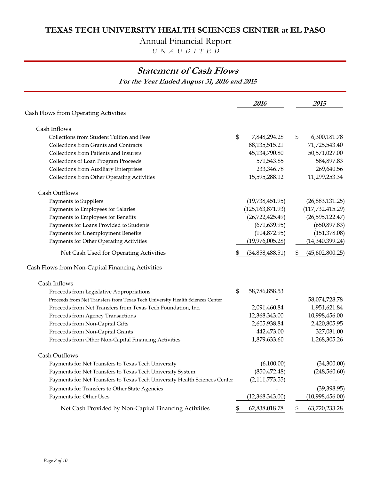Annual Financial Report

 *U N A U D I T E D*

# **Statement of Cash Flows**

**For the Year Ended August 31, 2016 and 2015**

|                                                                               | 2016                  | 2015                  |
|-------------------------------------------------------------------------------|-----------------------|-----------------------|
| Cash Flows from Operating Activities                                          |                       |                       |
| Cash Inflows                                                                  |                       |                       |
| Collections from Student Tuition and Fees                                     | \$<br>7,848,294.28    | \$<br>6,300,181.78    |
| Collections from Grants and Contracts                                         | 88, 135, 515. 21      | 71,725,543.40         |
| Collections from Patients and Insurers                                        | 45,134,790.80         | 50,571,027.00         |
| Collections of Loan Program Proceeds                                          | 571,543.85            | 584,897.83            |
| <b>Collections from Auxiliary Enterprises</b>                                 | 233,346.78            | 269,640.56            |
| Collections from Other Operating Activities                                   | 15,595,288.12         | 11,299,253.34         |
| Cash Outflows                                                                 |                       |                       |
| Payments to Suppliers                                                         | (19,738,451.95)       | (26,883,131.25)       |
| Payments to Employees for Salaries                                            | (125, 163, 871.93)    | (117, 732, 415.29)    |
| Payments to Employees for Benefits                                            | (26, 722, 425.49)     | (26, 595, 122.47)     |
| Payments for Loans Provided to Students                                       | (671, 639.95)         | (650, 897.83)         |
| Payments for Unemployment Benefits                                            | (104, 872.95)         | (151, 378.08)         |
| Payments for Other Operating Activities                                       | (19,976,005.28)       | (14,340,399.24)       |
| Net Cash Used for Operating Activities                                        | \$<br>(34,858,488.51) | \$<br>(45,602,800.25) |
| Cash Flows from Non-Capital Financing Activities                              |                       |                       |
| Cash Inflows                                                                  |                       |                       |
| Proceeds from Legislative Appropriations                                      | \$<br>58,786,858.53   |                       |
| Proceeds from Net Transfers from Texas Tech University Health Sciences Center |                       | 58,074,728.78         |
| Proceeds from Net Transfers from Texas Tech Foundation, Inc.                  | 2,091,460.84          | 1,951,621.84          |
| Proceeds from Agency Transactions                                             | 12,368,343.00         | 10,998,456.00         |
| Proceeds from Non-Capital Gifts                                               | 2,605,938.84          | 2,420,805.95          |
| Proceeds from Non-Capital Grants                                              | 442,473.00            | 327,031.00            |
| Proceeds from Other Non-Capital Financing Activities                          | 1,879,633.60          | 1,268,305.26          |
| Cash Outflows                                                                 |                       |                       |
| Payments for Net Transfers to Texas Tech University                           | (6,100.00)            | (34,300.00)           |
| Payments for Net Transfers to Texas Tech University System                    | (850, 472.48)         | (248,560.60)          |
| Payments for Net Transfers to Texas Tech University Health Sciences Center    | (2,111,773.55)        |                       |
| Payments for Transfers to Other State Agencies                                |                       | (39, 398.95)          |
| Payments for Other Uses                                                       | (12,368,343.00)       | (10,998,456.00)       |
| Net Cash Provided by Non-Capital Financing Activities                         | \$<br>62,838,018.78   | \$<br>63,720,233.28   |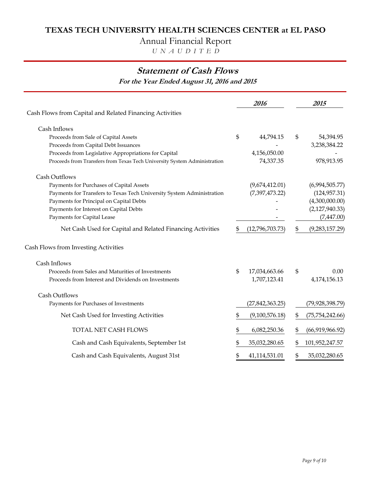Annual Financial Report

 *U N A U D I T E D*

# **Statement of Cash Flows**

**For the Year Ended August 31, 2016 and 2015**

|                                                                          |    | 2016            | 2015                    |
|--------------------------------------------------------------------------|----|-----------------|-------------------------|
| Cash Flows from Capital and Related Financing Activities                 |    |                 |                         |
| Cash Inflows                                                             |    |                 |                         |
| Proceeds from Sale of Capital Assets                                     | \$ | 44,794.15       | \$<br>54,394.95         |
| Proceeds from Capital Debt Issuances                                     |    |                 | 3,238,384.22            |
| Proceeds from Legislative Appropriations for Capital                     |    | 4,156,050.00    |                         |
| Proceeds from Transfers from Texas Tech University System Administration |    | 74,337.35       | 978,913.95              |
| Cash Outflows                                                            |    |                 |                         |
| Payments for Purchases of Capital Assets                                 |    | (9,674,412.01)  | (6,994,505.77)          |
| Payments for Transfers to Texas Tech University System Administration    |    | (7,397,473.22)  | (124, 957.31)           |
| Payments for Principal on Capital Debts                                  |    |                 | (4,300,000.00)          |
| Payments for Interest on Capital Debts                                   |    |                 | (2,127,940.33)          |
| Payments for Capital Lease                                               |    |                 | (7,447.00)              |
| Net Cash Used for Capital and Related Financing Activities               | \$ | (12,796,703.73) | \$<br>(9,283,157.29)    |
| Cash Flows from Investing Activities                                     |    |                 |                         |
| Cash Inflows                                                             |    |                 |                         |
| Proceeds from Sales and Maturities of Investments                        | \$ | 17,034,663.66   | \$<br>0.00              |
| Proceeds from Interest and Dividends on Investments                      |    | 1,707,123.41    | 4,174,156.13            |
| Cash Outflows                                                            |    |                 |                         |
| Payments for Purchases of Investments                                    |    | (27,842,363.25) | (79,928,398.79)         |
| Net Cash Used for Investing Activities                                   | \$ | (9,100,576.18)  | \$<br>(75, 754, 242.66) |
| TOTAL NET CASH FLOWS                                                     | \$ | 6,082,250.36    | \$<br>(66,919,966.92)   |
| Cash and Cash Equivalents, September 1st                                 | \$ | 35,032,280.65   | \$<br>101,952,247.57    |
| Cash and Cash Equivalents, August 31st                                   | \$ | 41,114,531.01   | \$<br>35,032,280.65     |